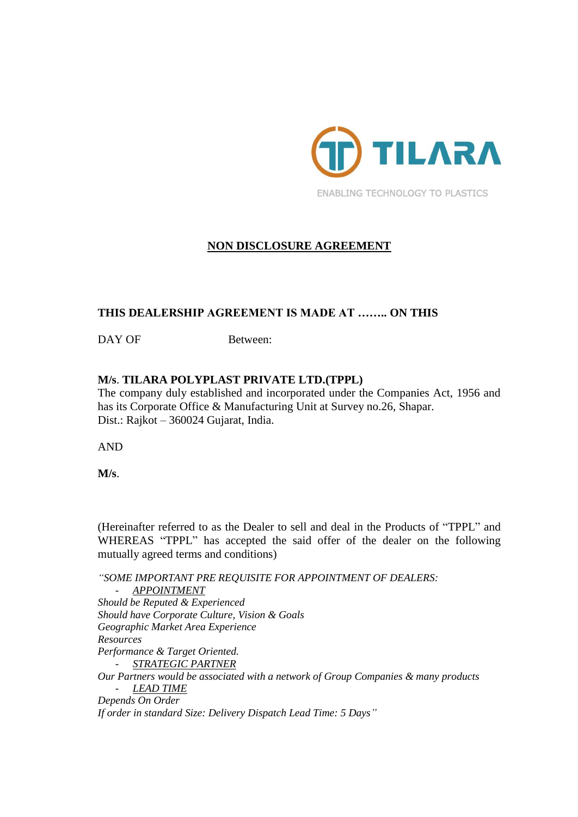

# **NON DISCLOSURE AGREEMENT**

#### **THIS DEALERSHIP AGREEMENT IS MADE AT …….. ON THIS**

DAY OF Between:

#### **M/s**. **TILARA POLYPLAST PRIVATE LTD.(TPPL)**

The company duly established and incorporated under the Companies Act, 1956 and has its Corporate Office & Manufacturing Unit at Survey no.26, Shapar. Dist.: Rajkot – 360024 Gujarat, India.

AND

**M/s**.

(Hereinafter referred to as the Dealer to sell and deal in the Products of "TPPL" and WHEREAS "TPPL" has accepted the said offer of the dealer on the following mutually agreed terms and conditions)

*"SOME IMPORTANT PRE REQUISITE FOR APPOINTMENT OF DEALERS:* - *APPOINTMENT Should be Reputed & Experienced Should have Corporate Culture, Vision & Goals Geographic Market Area Experience Resources Performance & Target Oriented.* - *STRATEGIC PARTNER Our Partners would be associated with a network of Group Companies & many products* - *LEAD TIME Depends On Order If order in standard Size: Delivery Dispatch Lead Time: 5 Days"*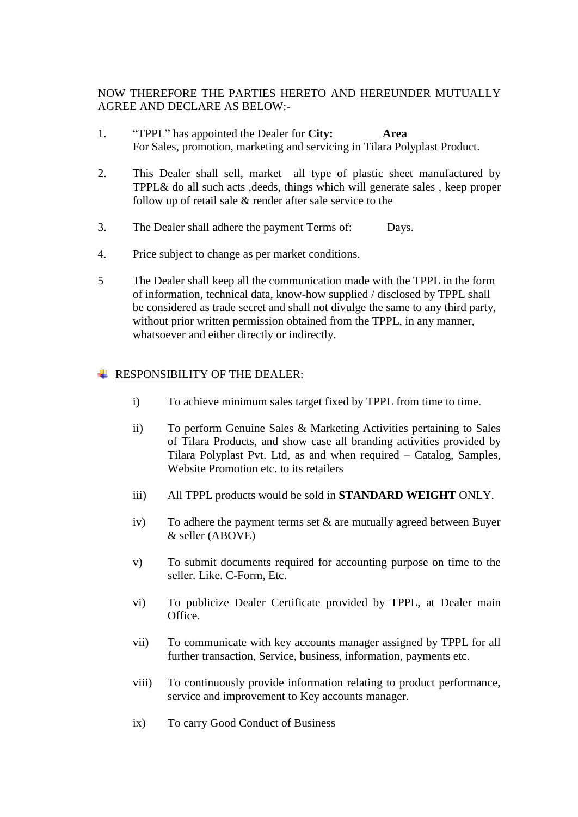NOW THEREFORE THE PARTIES HERETO AND HEREUNDER MUTUALLY AGREE AND DECLARE AS BELOW:-

- 1. "TPPL" has appointed the Dealer for **City: Area** For Sales, promotion, marketing and servicing in Tilara Polyplast Product.
- 2. This Dealer shall sell, market all type of plastic sheet manufactured by TPPL& do all such acts ,deeds, things which will generate sales , keep proper follow up of retail sale & render after sale service to the
- 3. The Dealer shall adhere the payment Terms of: Days.
- 4. Price subject to change as per market conditions.
- 5 The Dealer shall keep all the communication made with the TPPL in the form of information, technical data, know-how supplied / disclosed by TPPL shall be considered as trade secret and shall not divulge the same to any third party, without prior written permission obtained from the TPPL, in any manner, whatsoever and either directly or indirectly.

### **FRESPONSIBILITY OF THE DEALER:**

- i) To achieve minimum sales target fixed by TPPL from time to time.
- ii) To perform Genuine Sales & Marketing Activities pertaining to Sales of Tilara Products, and show case all branding activities provided by Tilara Polyplast Pvt. Ltd, as and when required – Catalog, Samples, Website Promotion etc. to its retailers
- iii) All TPPL products would be sold in **STANDARD WEIGHT** ONLY.
- iv) To adhere the payment terms set  $\&$  are mutually agreed between Buyer & seller (ABOVE)
- v) To submit documents required for accounting purpose on time to the seller. Like. C-Form, Etc.
- vi) To publicize Dealer Certificate provided by TPPL, at Dealer main Office.
- vii) To communicate with key accounts manager assigned by TPPL for all further transaction, Service, business, information, payments etc.
- viii) To continuously provide information relating to product performance, service and improvement to Key accounts manager.
- ix) To carry Good Conduct of Business